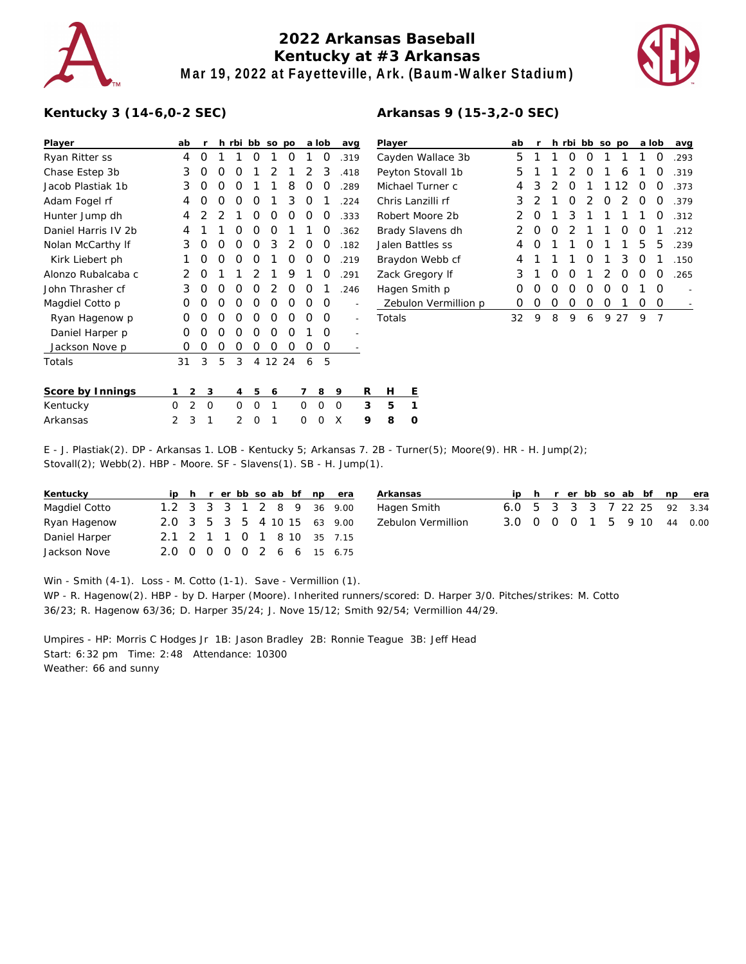

## **2022 Arkansas Baseball Kentucky at #3 Arkansas Mar 19, 2022 at Fayetteville, Ark. (Baum-Walker Stadium)**



## **Kentucky 3 (14-6,0-2 SEC)**

| Player              |    | ab             | r        |   | h rbi          | bb             | <b>SO</b>      | po |   | a lob    |          | avg  | Player          |        |  |
|---------------------|----|----------------|----------|---|----------------|----------------|----------------|----|---|----------|----------|------|-----------------|--------|--|
| Ryan Ritter ss      |    | 4              | O        | 1 | 1              | O              | 1              | Ο  | 1 | O        |          | .319 | Cayden          |        |  |
| Chase Estep 3b      |    | 3              | Ο        | O | Ω              | 1              | 2              | 1  | 2 | 3        |          | .418 | Peyton S        |        |  |
| Jacob Plastiak 1b   |    | 3              | O        | O | Ω              | 1              | 1              | 8  | O | Ο        |          | .289 | Michael         |        |  |
| Adam Fogel rf       |    | 4              | O        | O | Ω              | O              | 1              | 3  | O | 1        |          | .224 | Chris La        |        |  |
| Hunter Jump dh      |    | 4              | 2        | 2 | 1              | O              | O              | Ο  | O | O        |          | .333 | Robert N        |        |  |
| Daniel Harris IV 2b |    | 4              | 1        | 1 | Ο              | 0              | O              | 1  | 1 | O        |          | .362 | <b>Brady SI</b> |        |  |
| Nolan McCarthy If   |    | 3              | O        | O | Ω              | O              | 3              | 2  | O | O        |          | .182 | Jalen Ba        |        |  |
| Kirk Liebert ph     |    | 1              | O        | O | Ω              | O              | 1              | Ο  | O | O        |          | .219 | Braydon         |        |  |
| Alonzo Rubalcaba c  |    | 2              | O        | 1 | 1              | $\overline{2}$ | 1              | 9  | 1 | O        |          | .291 | Zack Gre        |        |  |
| John Thrasher cf    |    | 3              | O        | O | Ω              | O              | $\overline{2}$ | O  | O | 1        |          | .246 | Hagen S         |        |  |
| Magdiel Cotto p     |    | O              | O        | O | O              | O              | O              | O  | O | O        |          |      |                 | Zebulo |  |
| Ryan Hagenow p      |    | Ω              | O        | O | Ω              | O              | O              | Ω  | O | Ω        |          |      | Totals          |        |  |
| Daniel Harper p     |    | O              | Ω        | O | Ω              | Ω              | O              | Ω  | 1 | O        |          |      |                 |        |  |
| Jackson Nove p      |    | Ω              | 0        | Ο | Ω              | Ω              | 0              | Ω  | O | O        |          |      |                 |        |  |
| Totals              | 31 |                | 3        | 5 | 3              | 4              | 12 24          |    | 6 | 5        |          |      |                 |        |  |
| Score by Innings    | 1  | 2              | 3        |   | 4              | 5              | 6              |    | 7 | 8        | 9        | R    | Н               | Е      |  |
| Kentucky            | O  | $\overline{2}$ | $\Omega$ |   | O              | O              | 1              |    | O | $\Omega$ | $\Omega$ | 3    | 5               | 1      |  |
| Arkansas            | 2  | 3              | 1        |   | $\overline{2}$ | O              | 1              |    | O | $\Omega$ | X        | 9    | 8               | 0      |  |

| Player               | ab | r |   | h rbi         | bb | <b>SO</b> | <b>DO</b> |   | a lob | avg  |
|----------------------|----|---|---|---------------|----|-----------|-----------|---|-------|------|
| Cayden Wallace 3b    | 5  | 1 | 1 | Ω             | Ω  | 1         | 1         | 1 | O     | .293 |
| Peyton Stovall 1b    | 5  | 1 | 1 | 2             | Ω  | 1         | 6         | 1 | O     | .319 |
| Michael Turner c     | 4  | 3 | 2 | 0             | 1  | 1         | 12        | Ω | 0     | .373 |
| Chris Lanzilli rf    | 3  | 2 | 1 | Ω             | 2  | O         | 2         | Ω | 0     | .379 |
| Robert Moore 2b      | 2  | Ω | 1 | 3             | 1  | 1         | 1         | 1 | 0     | .312 |
| Brady Slavens dh     | 2  | Ω | 0 | $\mathcal{P}$ | 1  | 1         | Ω         | O | 1     | .212 |
| Jalen Battles ss     | 4  | Ω | 1 | 1             | O  | 1         | 1         | 5 | 5     | .239 |
| Braydon Webb cf      | 4  | 1 | 1 | 1             | Ω  | 1         | 3         | O | 1     | .150 |
| Zack Gregory If      | 3  | 1 | Ω | 0             | 1  | 2         | O         | Ω | O     | .265 |
| Hagen Smith p        | Ω  | Ω | Ω | Ω             | Ω  | O         | Ω         | 1 | O     |      |
| Zebulon Vermillion p | Ω  | Ω | Ω | Ο             | O  | Ο         | 1         | O | O     |      |
| Totals               | 32 | 9 | 8 | 9             | 6  | 9         | 27        | 9 | 7     |      |
|                      |    |   |   |               |    |           |           |   |       |      |
|                      |    |   |   |               |    |           |           |   |       |      |

**Arkansas 9 (15-3,2-0 SEC)**

E - J. Plastiak(2). DP - Arkansas 1. LOB - Kentucky 5; Arkansas 7. 2B - Turner(5); Moore(9). HR - H. Jump(2); Stovall(2); Webb(2). HBP - Moore. SF - Slavens(1). SB - H. Jump(1).

| Kentucky      |  |  |  |  | ip h r er bb so ab bf np era | $\mathsf{A}$ |
|---------------|--|--|--|--|------------------------------|--------------|
| Magdiel Cotto |  |  |  |  | 1.2 3 3 3 1 2 8 9 36 9.00    | Н            |
| Ryan Hagenow  |  |  |  |  | 2.0 3 5 3 5 4 10 15 63 9.00  | 7            |
| Daniel Harper |  |  |  |  | 2.1 2 1 1 0 1 8 10 35 7.15   |              |
| Jackson Nove  |  |  |  |  | 2.0 0 0 0 0 2 6 6 15 6.75    |              |

| Arkansas           |  |  |  |  | ip h r er bb so ab bf np era |
|--------------------|--|--|--|--|------------------------------|
| Hagen Smith        |  |  |  |  | 6.0 5 3 3 3 7 22 25 92 3.34  |
| Zebulon Vermillion |  |  |  |  | 3.0 0 0 0 1 5 9 10 44 0.00   |
|                    |  |  |  |  |                              |

Win - Smith (4-1). Loss - M. Cotto (1-1). Save - Vermillion (1).

WP - R. Hagenow(2). HBP - by D. Harper (Moore). Inherited runners/scored: D. Harper 3/0. Pitches/strikes: M. Cotto 36/23; R. Hagenow 63/36; D. Harper 35/24; J. Nove 15/12; Smith 92/54; Vermillion 44/29.

Umpires - HP: Morris C Hodges Jr 1B: Jason Bradley 2B: Ronnie Teague 3B: Jeff Head Start: 6:32 pm Time: 2:48 Attendance: 10300 Weather: 66 and sunny